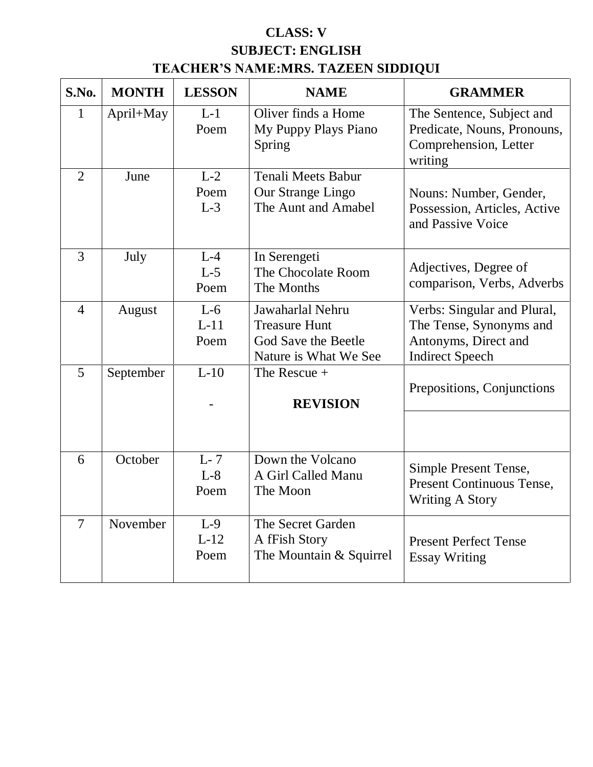# **CLASS: V SUBJECT: ENGLISH TEACHER'S NAME:MRS. TAZEEN SIDDIQUI**

| S.No.          | <b>MONTH</b> | <b>LESSON</b>           | <b>NAME</b>                                                                              | <b>GRAMMER</b>                                                                                           |
|----------------|--------------|-------------------------|------------------------------------------------------------------------------------------|----------------------------------------------------------------------------------------------------------|
| 1              | April+May    | $L-1$<br>Poem           | Oliver finds a Home<br>My Puppy Plays Piano<br>Spring                                    | The Sentence, Subject and<br>Predicate, Nouns, Pronouns,<br>Comprehension, Letter<br>writing             |
| $\overline{2}$ | June         | $L-2$<br>Poem<br>$L-3$  | <b>Tenali Meets Babur</b><br>Our Strange Lingo<br>The Aunt and Amabel                    | Nouns: Number, Gender,<br>Possession, Articles, Active<br>and Passive Voice                              |
| 3              | July         | $L-4$<br>$L-5$<br>Poem  | In Serengeti<br>The Chocolate Room<br>The Months                                         | Adjectives, Degree of<br>comparison, Verbs, Adverbs                                                      |
| $\overline{4}$ | August       | $L-6$<br>$L-11$<br>Poem | Jawaharlal Nehru<br><b>Treasure Hunt</b><br>God Save the Beetle<br>Nature is What We See | Verbs: Singular and Plural,<br>The Tense, Synonyms and<br>Antonyms, Direct and<br><b>Indirect Speech</b> |
| 5              | September    | $L-10$                  | The Rescue +<br><b>REVISION</b>                                                          | Prepositions, Conjunctions                                                                               |
| 6              | October      | $L-7$<br>$L-8$<br>Poem  | Down the Volcano<br>A Girl Called Manu<br>The Moon                                       | Simple Present Tense,<br><b>Present Continuous Tense,</b><br><b>Writing A Story</b>                      |
| $\overline{7}$ | November     | $L-9$<br>$L-12$<br>Poem | The Secret Garden<br>A fFish Story<br>The Mountain & Squirrel                            | <b>Present Perfect Tense</b><br><b>Essay Writing</b>                                                     |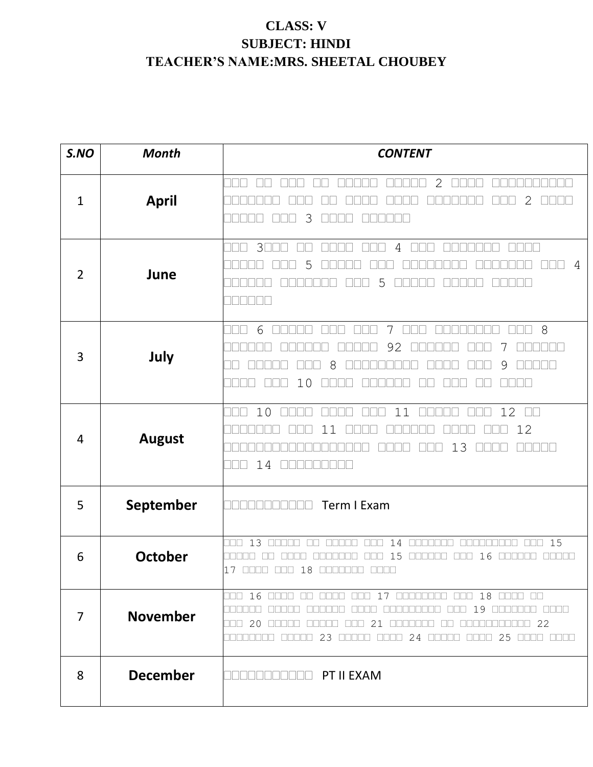# **CLASS: V SUBJECT: HINDI TEACHER'S NAME:MRS. SHEETAL CHOUBEY**

| S.NO           | <b>Month</b>    | <b>CONTENT</b>                                                                                                                                                                                |
|----------------|-----------------|-----------------------------------------------------------------------------------------------------------------------------------------------------------------------------------------------|
| $\mathbf{1}$   | <b>April</b>    | $\mathbf{2}$<br>2<br>3                                                                                                                                                                        |
| $\overline{2}$ | June            | $3\square$<br>4<br>$\mathbb{H}$<br>4<br>5<br>5                                                                                                                                                |
| 3              | July            | 8<br>6<br>7<br>92<br>9<br>8<br>T<br>10<br>TN                                                                                                                                                  |
| 4              | <b>August</b>   | 10<br>12<br>11<br>$\Box$<br>12<br>-1<br>13<br>an na s<br>14<br>$\mathbb{R}$                                                                                                                   |
| 5              | September       | Term I Exam<br>N 8 8 8 8                                                                                                                                                                      |
| 6              | <b>October</b>  | 13<br>14<br>15<br>OO D<br><b>NNN</b><br><b>FIFT</b><br>ПП<br><b>FIFICIAL</b><br><u>FFFF</u><br>ПF<br>15<br>16<br>17 0000 000 18 000000 0000                                                   |
| 7              | <b>November</b> | $\Box$ $\Box$ 16<br>$18$ once on<br>$\Box$<br>والمالي الم<br><b>DODD</b><br>$\Box\Box$<br>19<br>n nan<br>22<br>20<br>21<br>للالا<br>25<br>23<br>24<br><u>FFFFF</u><br>$\mathbb{H} \mathbb{H}$ |
| 8              | <b>December</b> | <b>THE PT II EXAM</b>                                                                                                                                                                         |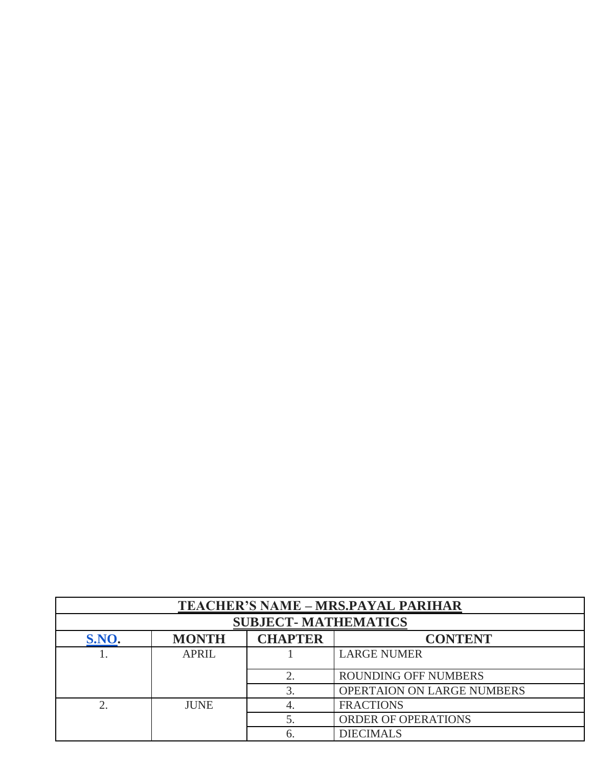|                                                           | <b>TEACHER'S NAME - MRS.PAYAL PARIHAR</b> |    |                                   |  |
|-----------------------------------------------------------|-------------------------------------------|----|-----------------------------------|--|
|                                                           | <b>SUBJECT-MATHEMATICS</b>                |    |                                   |  |
| <b>CHAPTER</b><br>S.NO.<br><b>MONTH</b><br><b>CONTENT</b> |                                           |    |                                   |  |
|                                                           | <b>APRIL</b>                              |    | <b>LARGE NUMER</b>                |  |
|                                                           |                                           |    | <b>ROUNDING OFF NUMBERS</b>       |  |
|                                                           |                                           |    | <b>OPERTAION ON LARGE NUMBERS</b> |  |
| C                                                         | <b>JUNE</b>                               |    | <b>FRACTIONS</b>                  |  |
|                                                           |                                           |    | ORDER OF OPERATIONS               |  |
|                                                           |                                           | b. | <b>DIECIMALS</b>                  |  |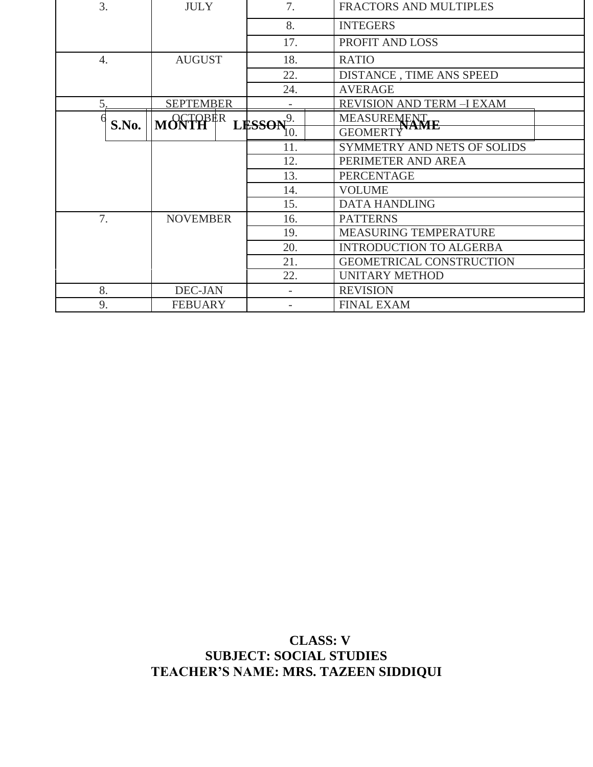| 3.               | <b>JULY</b>          | 7.          | FRACTORS AND MULTIPLES           |  |
|------------------|----------------------|-------------|----------------------------------|--|
|                  |                      | 8.          | <b>INTEGERS</b>                  |  |
|                  |                      | 17.         | PROFIT AND LOSS                  |  |
| $\overline{4}$ . | <b>AUGUST</b>        | 18.         | <b>RATIO</b>                     |  |
|                  |                      | 22.         | DISTANCE, TIME ANS SPEED         |  |
|                  |                      | 24.         | <b>AVERAGE</b>                   |  |
| 5.               | <b>SEPTEMBER</b>     |             | <b>REVISION AND TERM -I EXAM</b> |  |
| S.No.            | MONTH <sup>BER</sup> | $LFSSON9$ . | MEASURENENT                      |  |
|                  |                      | 10.         | <b>GEOMERT</b>                   |  |
|                  |                      | 11.         | SYMMETRY AND NETS OF SOLIDS      |  |
|                  |                      | 12.         | PERIMETER AND AREA               |  |
|                  |                      | 13.         | <b>PERCENTAGE</b>                |  |
|                  |                      | 14.         | <b>VOLUME</b>                    |  |
|                  |                      | 15.         | <b>DATA HANDLING</b>             |  |
| 7.               | <b>NOVEMBER</b>      | 16.         | <b>PATTERNS</b>                  |  |
|                  |                      | 19.         | MEASURING TEMPERATURE            |  |
|                  |                      | 20.         | <b>INTRODUCTION TO ALGERBA</b>   |  |
|                  |                      | 21.         | <b>GEOMETRICAL CONSTRUCTION</b>  |  |
|                  |                      | 22.         | <b>UNITARY METHOD</b>            |  |
| 8.               | DEC-JAN              |             | <b>REVISION</b>                  |  |
| 9.               | <b>FEBUARY</b>       |             | <b>FINAL EXAM</b>                |  |

### **CLASS: V SUBJECT: SOCIAL STUDIES TEACHER'S NAME: MRS. TAZEEN SIDDIQUI**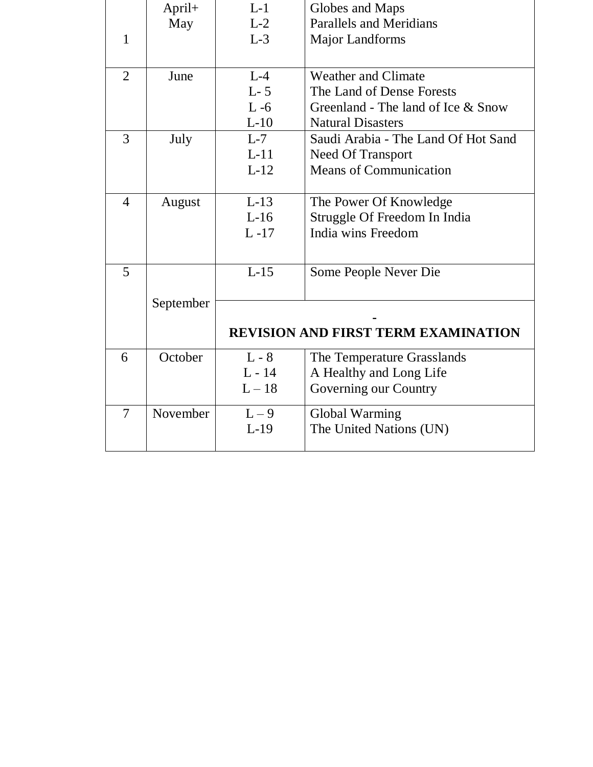|                | April+    | $L-1$          | Globes and Maps                            |
|----------------|-----------|----------------|--------------------------------------------|
|                | May       | $L-2$          | <b>Parallels and Meridians</b>             |
| 1              |           | $L-3$          | <b>Major Landforms</b>                     |
|                |           |                |                                            |
| $\overline{2}$ | June      | $L - 4$        | <b>Weather and Climate</b>                 |
|                |           | $L-5$          | The Land of Dense Forests                  |
|                |           | $L - 6$        | Greenland - The land of Ice & Snow         |
|                |           | $L-10$         | <b>Natural Disasters</b>                   |
| 3              | July      | $L-7$          | Saudi Arabia - The Land Of Hot Sand        |
|                |           | $L-11$         | Need Of Transport                          |
|                |           | $L-12$         | <b>Means of Communication</b>              |
|                |           |                |                                            |
| 4              | August    | $L-13$         | The Power Of Knowledge                     |
|                |           | $L-16$         | Struggle Of Freedom In India               |
|                |           | $L - 17$       | India wins Freedom                         |
|                |           |                |                                            |
| 5              |           | $L-15$         | Some People Never Die                      |
|                |           |                |                                            |
|                | September |                |                                            |
|                |           |                |                                            |
|                |           |                | <b>REVISION AND FIRST TERM EXAMINATION</b> |
| 6              | October   | $L - 8$        | The Temperature Grasslands                 |
|                |           | $\rm L$ - $14$ | A Healthy and Long Life                    |
|                |           | $L-18$         | Governing our Country                      |
| $\overline{7}$ | November  | $L-9$          | Global Warming                             |
|                |           | $L-19$         | The United Nations (UN)                    |
|                |           |                |                                            |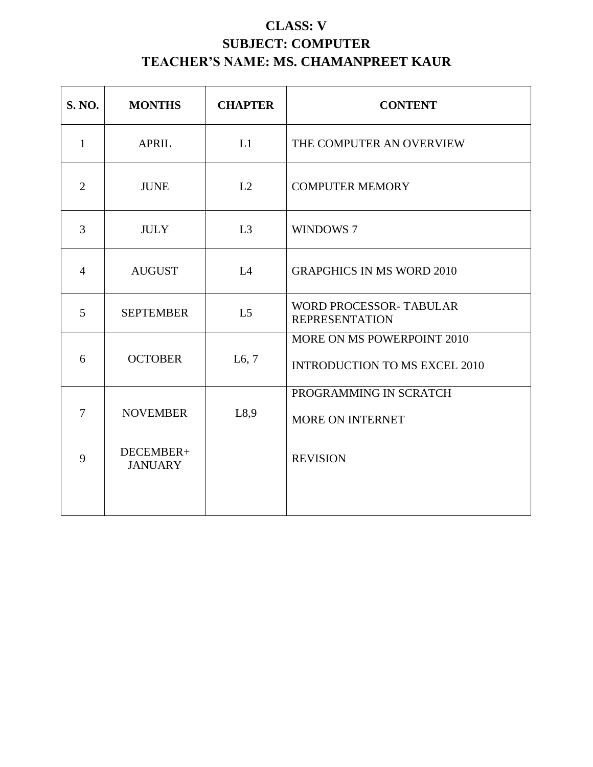# **CLASS: V SUBJECT: COMPUTER TEACHER'S NAME: MS. CHAMANPREET KAUR**

| <b>S. NO.</b>  | <b>MONTHS</b>               | <b>CHAPTER</b> | <b>CONTENT</b>                                                     |
|----------------|-----------------------------|----------------|--------------------------------------------------------------------|
| $\mathbf{1}$   | <b>APRIL</b>                | L1             | THE COMPUTER AN OVERVIEW                                           |
| $\overline{2}$ | <b>JUNE</b>                 | L2             | <b>COMPUTER MEMORY</b>                                             |
| 3              | <b>JULY</b>                 | L <sub>3</sub> | WINDOWS 7                                                          |
| $\overline{4}$ | <b>AUGUST</b>               | L4             | <b>GRAPGHICS IN MS WORD 2010</b>                                   |
| 5              | <b>SEPTEMBER</b>            | L <sub>5</sub> | <b>WORD PROCESSOR- TABULAR</b><br><b>REPRESENTATION</b>            |
| 6              | <b>OCTOBER</b>              | L6, 7          | MORE ON MS POWERPOINT 2010<br><b>INTRODUCTION TO MS EXCEL 2010</b> |
| $\overline{7}$ | <b>NOVEMBER</b>             | L8,9           | PROGRAMMING IN SCRATCH<br><b>MORE ON INTERNET</b>                  |
| 9              | DECEMBER+<br><b>JANUARY</b> |                | <b>REVISION</b>                                                    |
|                |                             |                |                                                                    |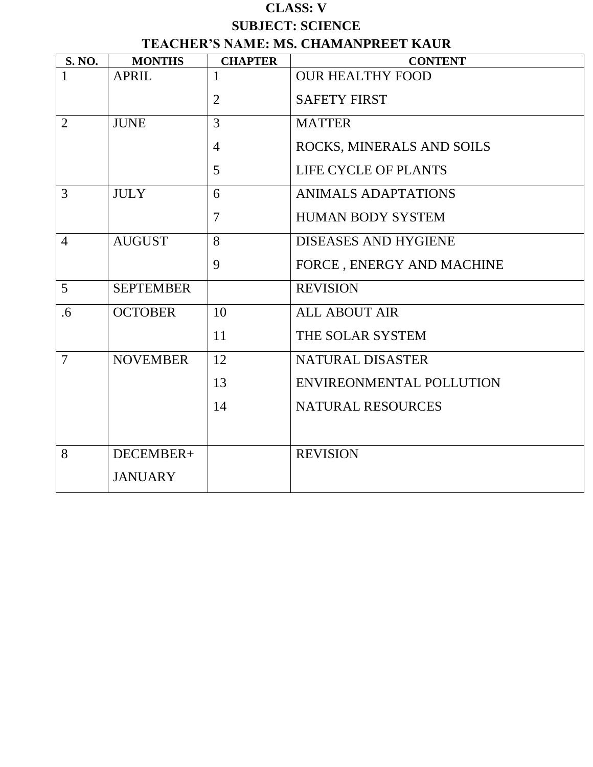### **CLASS: V SUBJECT: SCIENCE TEACHER'S NAME: MS. CHAMANPREET KAUR**

| <b>S. NO.</b>  | <b>MONTHS</b>    | <b>CHAPTER</b> | <b>CONTENT</b>              |
|----------------|------------------|----------------|-----------------------------|
| $\mathbf{1}$   | <b>APRIL</b>     |                | <b>OUR HEALTHY FOOD</b>     |
|                |                  | 2              | <b>SAFETY FIRST</b>         |
| $\overline{2}$ | <b>JUNE</b>      | $\overline{3}$ | <b>MATTER</b>               |
|                |                  | $\overline{4}$ | ROCKS, MINERALS AND SOILS   |
|                |                  | 5              | <b>LIFE CYCLE OF PLANTS</b> |
| 3              | <b>JULY</b>      | 6              | ANIMALS ADAPTATIONS         |
|                |                  | 7              | <b>HUMAN BODY SYSTEM</b>    |
| $\overline{4}$ | <b>AUGUST</b>    | 8              | <b>DISEASES AND HYGIENE</b> |
|                |                  | 9              | FORCE, ENERGY AND MACHINE   |
| 5              | <b>SEPTEMBER</b> |                | <b>REVISION</b>             |
| .6             | <b>OCTOBER</b>   | 10             | <b>ALL ABOUT AIR</b>        |
|                |                  | 11             | THE SOLAR SYSTEM            |
| $\overline{7}$ | <b>NOVEMBER</b>  | 12             | NATURAL DISASTER            |
|                |                  | 13             | ENVIREONMENTAL POLLUTION    |
|                |                  | 14             | <b>NATURAL RESOURCES</b>    |
|                |                  |                |                             |
| 8              | DECEMBER+        |                | <b>REVISION</b>             |
|                | <b>JANUARY</b>   |                |                             |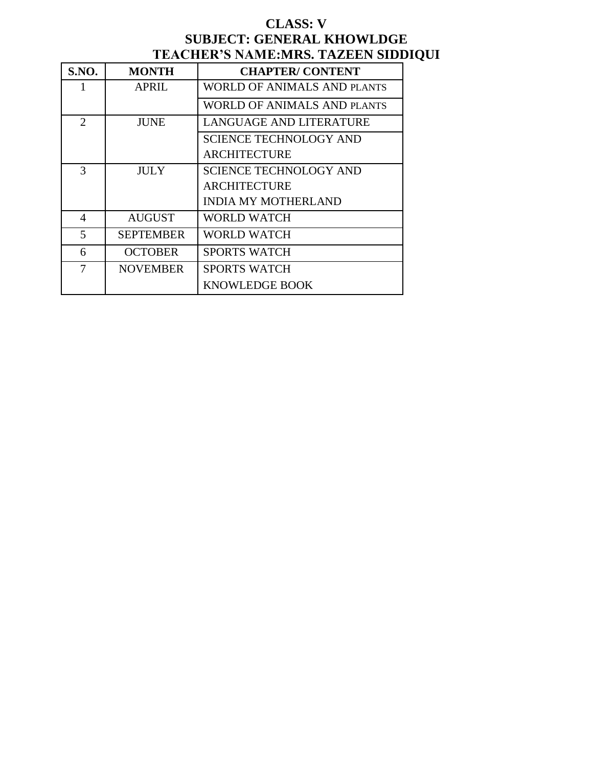### **CLASS: V SUBJECT: GENERAL KHOWLDGE TEACHER'S NAME:MRS. TAZEEN SIDDIQUI**

| <b>S.NO.</b>   | <b>MONTH</b>     | <b>CHAPTER/CONTENT</b>        |
|----------------|------------------|-------------------------------|
| 1              | <b>APRIL</b>     | WORLD OF ANIMALS AND PLANTS   |
|                |                  | WORLD OF ANIMALS AND PLANTS   |
| $\overline{2}$ | <b>JUNE</b>      | LANGUAGE AND LITERATURE       |
|                |                  | <b>SCIENCE TECHNOLOGY AND</b> |
|                |                  | <b>ARCHITECTURE</b>           |
| 3              | JULY             | <b>SCIENCE TECHNOLOGY AND</b> |
|                |                  | <b>ARCHITECTURE</b>           |
|                |                  | <b>INDIA MY MOTHERLAND</b>    |
| 4              | <b>AUGUST</b>    | WORLD WATCH                   |
| 5              | <b>SEPTEMBER</b> | WORLD WATCH                   |
| 6              | <b>OCTOBER</b>   | <b>SPORTS WATCH</b>           |
| 7              | <b>NOVEMBER</b>  | SPORTS WATCH                  |
|                |                  | KNOWLEDGE BOOK                |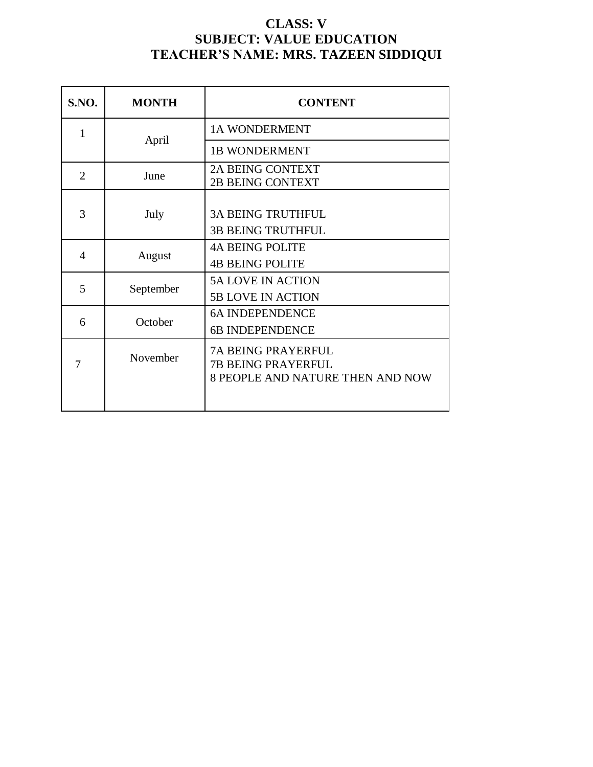### **CLASS: V SUBJECT: VALUE EDUCATION TEACHER'S NAME: MRS. TAZEEN SIDDIQUI**

| <b>S.NO.</b>   | <b>MONTH</b> | <b>CONTENT</b>                                                                             |
|----------------|--------------|--------------------------------------------------------------------------------------------|
| 1              |              | <b>1A WONDERMENT</b>                                                                       |
|                | April        | <b>1B WONDERMENT</b>                                                                       |
| $\overline{2}$ | June         | <b>2A BEING CONTEXT</b><br><b>2B BEING CONTEXT</b>                                         |
| 3              | July         | <b>3A BEING TRUTHFUL</b><br><b>3B BEING TRUTHFUL</b>                                       |
| 4              | August       | <b>4A BEING POLITE</b><br><b>4B BEING POLITE</b>                                           |
| 5              | September    | <b>5A LOVE IN ACTION</b><br><b>5B LOVE IN ACTION</b>                                       |
| 6              | October      | <b>6A INDEPENDENCE</b><br><b>6B INDEPENDENCE</b>                                           |
|                | November     | <b>7A BEING PRAYERFUL</b><br><b>7B BEING PRAYERFUL</b><br>8 PEOPLE AND NATURE THEN AND NOW |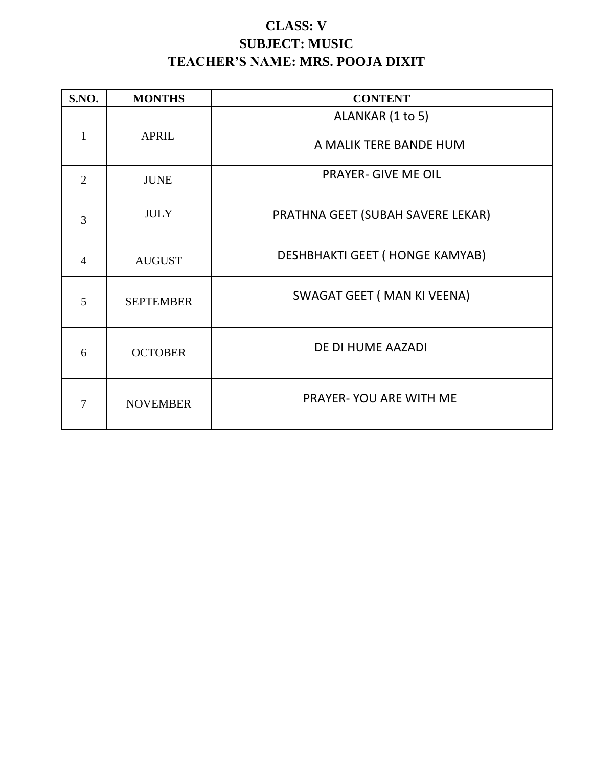# **CLASS: V SUBJECT: MUSIC TEACHER'S NAME: MRS. POOJA DIXIT**

| <b>S.NO.</b>   | <b>MONTHS</b>    | <b>CONTENT</b>                    |
|----------------|------------------|-----------------------------------|
|                |                  | ALANKAR (1 to 5)                  |
| $\mathbf{1}$   | <b>APRIL</b>     | A MALIK TERE BANDE HUM            |
| $\overline{2}$ | <b>JUNE</b>      | <b>PRAYER- GIVE ME OIL</b>        |
| 3              | <b>JULY</b>      | PRATHNA GEET (SUBAH SAVERE LEKAR) |
| $\overline{4}$ | <b>AUGUST</b>    | DESHBHAKTI GEET (HONGE KAMYAB)    |
| 5              | <b>SEPTEMBER</b> | SWAGAT GEET (MAN KI VEENA)        |
| 6              | <b>OCTOBER</b>   | DE DI HUME AAZADI                 |
| 7              | <b>NOVEMBER</b>  | <b>PRAYER-YOU ARE WITH ME</b>     |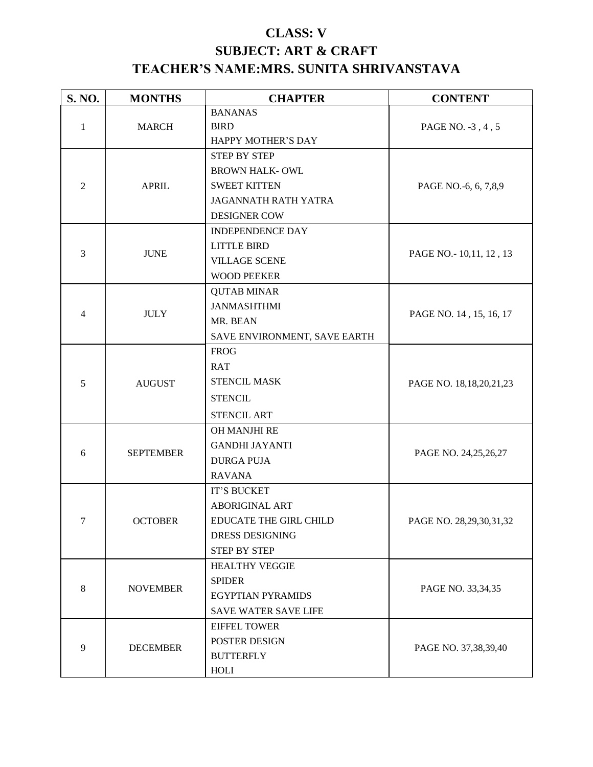# **CLASS: V SUBJECT: ART & CRAFT TEACHER'S NAME:MRS. SUNITA SHRIVANSTAVA**

| S. NO.         | <b>MONTHS</b>    | <b>CHAPTER</b>               | <b>CONTENT</b>              |
|----------------|------------------|------------------------------|-----------------------------|
|                |                  | <b>BANANAS</b>               |                             |
| $\mathbf{1}$   | <b>MARCH</b>     | <b>BIRD</b>                  | PAGE NO. -3, 4, 5           |
|                |                  | HAPPY MOTHER'S DAY           |                             |
|                |                  | <b>STEP BY STEP</b>          |                             |
|                |                  | <b>BROWN HALK-OWL</b>        |                             |
| $\overline{2}$ | <b>APRIL</b>     | <b>SWEET KITTEN</b>          | PAGE NO.-6, 6, 7,8,9        |
|                |                  | <b>JAGANNATH RATH YATRA</b>  |                             |
|                |                  | <b>DESIGNER COW</b>          |                             |
|                |                  | <b>INDEPENDENCE DAY</b>      |                             |
|                |                  | <b>LITTLE BIRD</b>           |                             |
| $\overline{3}$ | <b>JUNE</b>      | <b>VILLAGE SCENE</b>         | PAGE NO. - 10,11, 12, 13    |
|                |                  | <b>WOOD PEEKER</b>           |                             |
|                |                  | <b>QUTAB MINAR</b>           |                             |
|                |                  | <b>JANMASHTHMI</b>           |                             |
| $\overline{4}$ | <b>JULY</b>      | MR. BEAN                     | PAGE NO. 14, 15, 16, 17     |
|                |                  | SAVE ENVIRONMENT, SAVE EARTH |                             |
|                |                  | <b>FROG</b>                  |                             |
|                |                  | <b>RAT</b>                   |                             |
| 5              | <b>AUGUST</b>    | <b>STENCIL MASK</b>          | PAGE NO. 18, 18, 20, 21, 23 |
|                |                  | <b>STENCIL</b>               |                             |
|                |                  | <b>STENCIL ART</b>           |                             |
|                | <b>SEPTEMBER</b> | OH MANJHI RE                 |                             |
|                |                  | <b>GANDHI JAYANTI</b>        |                             |
| 6              |                  | <b>DURGA PUJA</b>            | PAGE NO. 24,25,26,27        |
|                |                  | <b>RAVANA</b>                |                             |
|                |                  | IT'S BUCKET                  |                             |
|                |                  | <b>ABORIGINAL ART</b>        |                             |
| 7              | <b>OCTOBER</b>   | EDUCATE THE GIRL CHILD       | PAGE NO. 28,29,30,31,32     |
|                |                  | <b>DRESS DESIGNING</b>       |                             |
|                |                  | <b>STEP BY STEP</b>          |                             |
|                |                  | <b>HEALTHY VEGGIE</b>        |                             |
| 8              |                  | <b>SPIDER</b>                |                             |
|                | <b>NOVEMBER</b>  | <b>EGYPTIAN PYRAMIDS</b>     | PAGE NO. 33,34,35           |
|                |                  | <b>SAVE WATER SAVE LIFE</b>  |                             |
|                |                  | <b>EIFFEL TOWER</b>          |                             |
|                |                  | POSTER DESIGN                | PAGE NO. 37,38,39,40        |
| 9              | <b>DECEMBER</b>  | <b>BUTTERFLY</b>             |                             |
|                |                  | HOLI                         |                             |